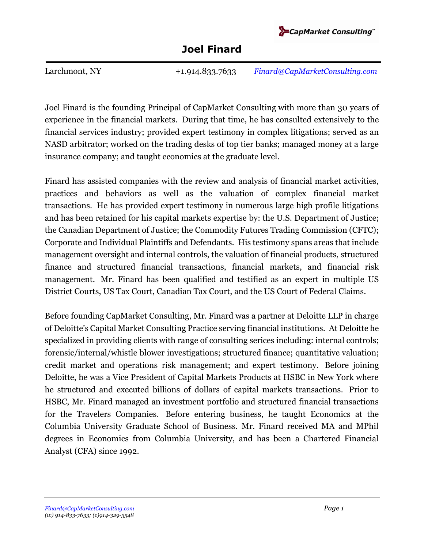

Larchmont, NY +1.914.833.7633 *[Finard@CapMarketConsulting.com](mailto:Finard@CapMarketConsulting.com)* 

Joel Finard is the founding Principal of CapMarket Consulting with more than 30 years of experience in the financial markets. During that time, he has consulted extensively to the financial services industry; provided expert testimony in complex litigations; served as an NASD arbitrator; worked on the trading desks of top tier banks; managed money at a large insurance company; and taught economics at the graduate level.

Finard has assisted companies with the review and analysis of financial market activities, practices and behaviors as well as the valuation of complex financial market transactions. He has provided expert testimony in numerous large high profile litigations and has been retained for his capital markets expertise by: the U.S. Department of Justice; the Canadian Department of Justice; the Commodity Futures Trading Commission (CFTC); Corporate and Individual Plaintiffs and Defendants. His testimony spans areas that include management oversight and internal controls, the valuation of financial products, structured finance and structured financial transactions, financial markets, and financial risk management. Mr. Finard has been qualified and testified as an expert in multiple US District Courts, US Tax Court, Canadian Tax Court, and the US Court of Federal Claims.

Before founding CapMarket Consulting, Mr. Finard was a partner at Deloitte LLP in charge of Deloitte's Capital Market Consulting Practice serving financial institutions. At Deloitte he specialized in providing clients with range of consulting serices including: internal controls; forensic/internal/whistle blower investigations; structured finance; quantitative valuation; credit market and operations risk management; and expert testimony. Before joining Deloitte, he was a Vice President of Capital Markets Products at HSBC in New York where he structured and executed billions of dollars of capital markets transactions. Prior to HSBC, Mr. Finard managed an investment portfolio and structured financial transactions for the Travelers Companies. Before entering business, he taught Economics at the Columbia University Graduate School of Business. Mr. Finard received MA and MPhil degrees in Economics from Columbia University, and has been a Chartered Financial Analyst (CFA) since 1992.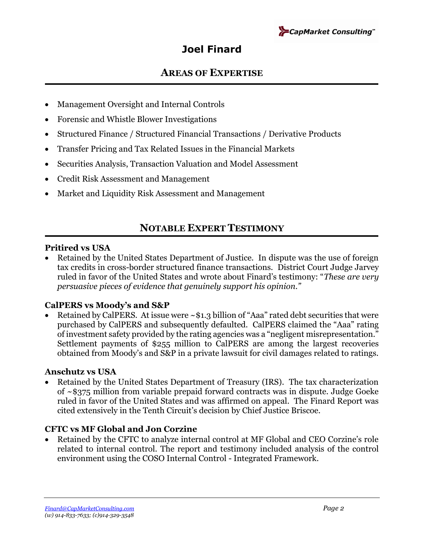

### **AREAS OF EXPERTISE**

- Management Oversight and Internal Controls
- Forensic and Whistle Blower Investigations
- Structured Finance / Structured Financial Transactions / Derivative Products
- Transfer Pricing and Tax Related Issues in the Financial Markets
- Securities Analysis, Transaction Valuation and Model Assessment
- Credit Risk Assessment and Management
- Market and Liquidity Risk Assessment and Management

## **NOTABLE EXPERT TESTIMONY**

### **Pritired vs USA**

• Retained by the United States Department of Justice. In dispute was the use of foreign tax credits in cross-border structured finance transactions. District Court Judge Jarvey ruled in favor of the United States and wrote about Finard's testimony: "*These are very persuasive pieces of evidence that genuinely support his opinion."*

### **CalPERS vs Moody's and S&P**

• Retained by CalPERS. At issue were ~\$1.3 billion of "Aaa" rated debt securities that were purchased by CalPERS and subsequently defaulted. CalPERS claimed the "Aaa" rating of investment safety provided by the rating agencies was a "negligent misrepresentation." Settlement payments of \$255 million to CalPERS are among the largest recoveries obtained from Moody's and S&P in a private lawsuit for civil damages related to ratings.

### **Anschutz vs USA**

• Retained by the United States Department of Treasury (IRS). The tax characterization of ~\$375 million from variable prepaid forward contracts was in dispute. Judge Goeke ruled in favor of the United States and was affirmed on appeal. The Finard Report was cited extensively in the Tenth Circuit's decision by Chief Justice Briscoe.

### **CFTC vs MF Global and Jon Corzine**

• Retained by the CFTC to analyze internal control at MF Global and CEO Corzine's role related to internal control. The report and testimony included analysis of the control environment using the COSO Internal Control - Integrated Framework.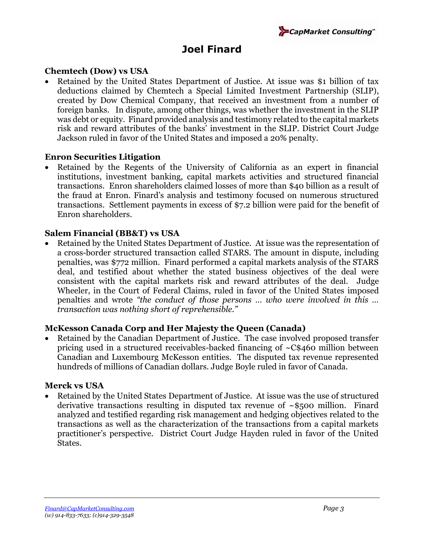

### **Chemtech (Dow) vs USA**

• Retained by the United States Department of Justice. At issue was \$1 billion of tax deductions claimed by Chemtech a Special Limited Investment Partnership (SLIP), created by Dow Chemical Company, that received an investment from a number of foreign banks. In dispute, among other things, was whether the investment in the SLIP was debt or equity. Finard provided analysis and testimony related to the capital markets risk and reward attributes of the banks' investment in the SLIP. District Court Judge Jackson ruled in favor of the United States and imposed a 20% penalty.

### **Enron Securities Litigation**

Retained by the Regents of the University of California as an expert in financial institutions, investment banking, capital markets activities and structured financial transactions. Enron shareholders claimed losses of more than \$40 billion as a result of the fraud at Enron. Finard's analysis and testimony focused on numerous structured transactions. Settlement payments in excess of \$7.2 billion were paid for the benefit of Enron shareholders.

### **Salem Financial (BB&T) vs USA**

• Retained by the United States Department of Justice. At issue was the representation of a cross-border structured transaction called STARS. The amount in dispute, including penalties, was \$772 million. Finard performed a capital markets analysis of the STARS deal, and testified about whether the stated business objectives of the deal were consistent with the capital markets risk and reward attributes of the deal. Judge Wheeler, in the Court of Federal Claims, ruled in favor of the United States imposed penalties and wrote *"the conduct of those persons … who were involved in this … transaction was nothing short of reprehensible."* 

### **McKesson Canada Corp and Her Majesty the Queen (Canada)**

Retained by the Canadian Department of Justice. The case involved proposed transfer pricing used in a structured receivables-backed financing of ~C\$460 million between Canadian and Luxembourg McKesson entities. The disputed tax revenue represented hundreds of millions of Canadian dollars. Judge Boyle ruled in favor of Canada.

### **Merck vs USA**

• Retained by the United States Department of Justice. At issue was the use of structured derivative transactions resulting in disputed tax revenue of ~\$500 million. Finard analyzed and testified regarding risk management and hedging objectives related to the transactions as well as the characterization of the transactions from a capital markets practitioner's perspective. District Court Judge Hayden ruled in favor of the United States.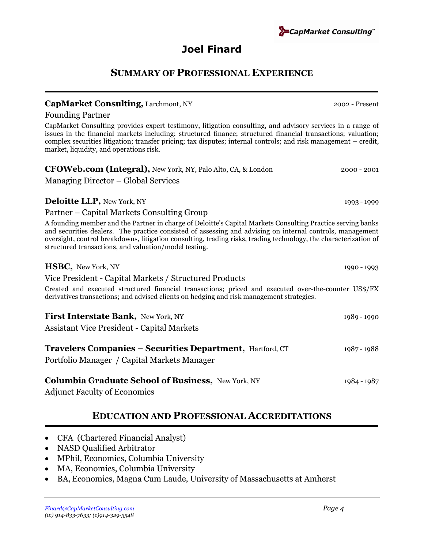### **SUMMARY OF PROFESSIONAL EXPERIENCE**

### **CapMarket Consulting,** Larchmont, NY 2002 - Present

Managing Director – Global Services

Founding Partner

CapMarket Consulting provides expert testimony, litigation consulting, and advisory services in a range of issues in the financial markets including: structured finance; structured financial transactions; valuation; complex securities litigation; transfer pricing; tax disputes; internal controls; and risk management – credit, market, liquidity, and operations risk.

| <b>Deloitte LLP</b> , New York, NY                                                                                                                                                                                                                                                                                                                                                                    | 1993 - 1999 |
|-------------------------------------------------------------------------------------------------------------------------------------------------------------------------------------------------------------------------------------------------------------------------------------------------------------------------------------------------------------------------------------------------------|-------------|
| Partner – Capital Markets Consulting Group                                                                                                                                                                                                                                                                                                                                                            |             |
| A founding member and the Partner in charge of Deloitte's Capital Markets Consulting Practice serving banks<br>and securities dealers. The practice consisted of assessing and advising on internal controls, management<br>oversight, control breakdowns, litigation consulting, trading risks, trading technology, the characterization of<br>structured transactions, and valuation/model testing. |             |
| <b>HSBC, New York, NY</b>                                                                                                                                                                                                                                                                                                                                                                             | 1990 - 1993 |
| Vice President - Capital Markets / Structured Products                                                                                                                                                                                                                                                                                                                                                |             |
| Created and executed structured financial transactions; priced and executed over-the-counter US\$/FX<br>derivatives transactions; and advised clients on hedging and risk management strategies.                                                                                                                                                                                                      |             |
| First Interstate Bank, New York, NY                                                                                                                                                                                                                                                                                                                                                                   | 1989 - 1990 |
| <b>Assistant Vice President - Capital Markets</b>                                                                                                                                                                                                                                                                                                                                                     |             |
| Travelers Companies - Securities Department, Hartford, CT<br>Portfolio Manager / Capital Markets Manager                                                                                                                                                                                                                                                                                              | 1987 - 1988 |
| <b>Columbia Graduate School of Business, New York, NY</b><br><b>Adjunct Faculty of Economics</b>                                                                                                                                                                                                                                                                                                      | 1984 - 1987 |

## **EDUCATION AND PROFESSIONAL ACCREDITATIONS**

- CFA (Chartered Financial Analyst)
- NASD Qualified Arbitrator
- MPhil, Economics, Columbia University
- MA, Economics, Columbia University
- BA, Economics, Magna Cum Laude, University of Massachusetts at Amherst



**CapMarket Consulting**"

**CFOWeb.com (Integral),** New York, NY, Palo Alto, CA, & London 2000 - 2001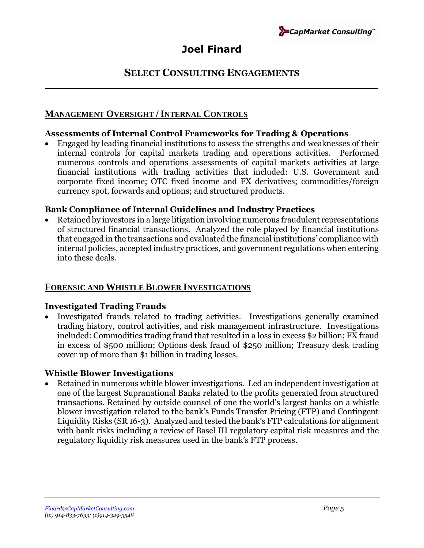

### **SELECT CONSULTING ENGAGEMENTS**

### **MANAGEMENT OVERSIGHT /INTERNAL CONTROLS**

### **Assessments of Internal Control Frameworks for Trading & Operations**

• Engaged by leading financial institutions to assess the strengths and weaknesses of their internal controls for capital markets trading and operations activities. Performed numerous controls and operations assessments of capital markets activities at large financial institutions with trading activities that included: U.S. Government and corporate fixed income; OTC fixed income and FX derivatives; commodities/foreign currency spot, forwards and options; and structured products.

### **Bank Compliance of Internal Guidelines and Industry Practices**

• Retained by investors in a large litigation involving numerous fraudulent representations of structured financial transactions. Analyzed the role played by financial institutions that engaged in the transactions and evaluated the financial institutions' compliance with internal policies, accepted industry practices, and government regulations when entering into these deals.

### **FORENSIC AND WHISTLE BLOWER INVESTIGATIONS**

### **Investigated Trading Frauds**

• Investigated frauds related to trading activities. Investigations generally examined trading history, control activities, and risk management infrastructure. Investigations included: Commodities trading fraud that resulted in a loss in excess \$2 billion; FX fraud in excess of \$500 million; Options desk fraud of \$250 million; Treasury desk trading cover up of more than \$1 billion in trading losses.

### **Whistle Blower Investigations**

• Retained in numerous whitle blower investigations. Led an independent investigation at one of the largest Supranational Banks related to the profits generated from structured transactions. Retained by outside counsel of one the world's largest banks on a whistle blower investigation related to the bank's Funds Transfer Pricing (FTP) and Contingent Liquidity Risks (SR 16-3). Analyzed and tested the bank's FTP calculations for alignment with bank risks including a review of Basel III regulatory capital risk measures and the regulatory liquidity risk measures used in the bank's FTP process.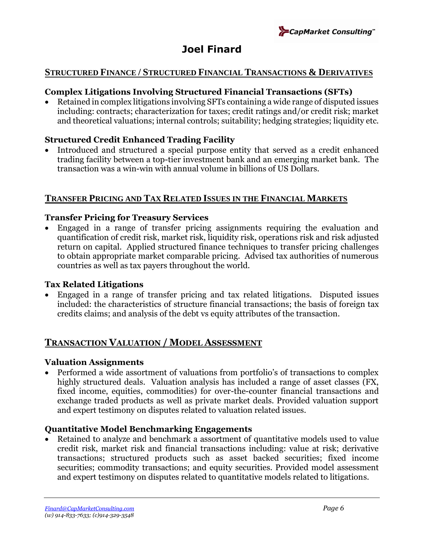

#### **STRUCTURED FINANCE / STRUCTURED FINANCIAL TRANSACTIONS & DERIVATIVES**

### **Complex Litigations Involving Structured Financial Transactions (SFTs)**

• Retained in complex litigations involving SFTs containing a wide range of disputed issues including: contracts; characterization for taxes; credit ratings and/or credit risk; market and theoretical valuations; internal controls; suitability; hedging strategies; liquidity etc.

### **Structured Credit Enhanced Trading Facility**

• Introduced and structured a special purpose entity that served as a credit enhanced trading facility between a top-tier investment bank and an emerging market bank. The transaction was a win-win with annual volume in billions of US Dollars.

### **TRANSFER PRICING AND TAX RELATED ISSUES IN THE FINANCIAL MARKETS**

### **Transfer Pricing for Treasury Services**

• Engaged in a range of transfer pricing assignments requiring the evaluation and quantification of credit risk, market risk, liquidity risk, operations risk and risk adjusted return on capital. Applied structured finance techniques to transfer pricing challenges to obtain appropriate market comparable pricing. Advised tax authorities of numerous countries as well as tax payers throughout the world.

### **Tax Related Litigations**

• Engaged in a range of transfer pricing and tax related litigations. Disputed issues included: the characteristics of structure financial transactions; the basis of foreign tax credits claims; and analysis of the debt vs equity attributes of the transaction.

### **TRANSACTION VALUATION / MODEL ASSESSMENT**

#### **Valuation Assignments**

• Performed a wide assortment of valuations from portfolio's of transactions to complex highly structured deals. Valuation analysis has included a range of asset classes (FX, fixed income, equities, commodities) for over-the-counter financial transactions and exchange traded products as well as private market deals. Provided valuation support and expert testimony on disputes related to valuation related issues.

### **Quantitative Model Benchmarking Engagements**

Retained to analyze and benchmark a assortment of quantitative models used to value credit risk, market risk and financial transactions including: value at risk; derivative transactions; structured products such as asset backed securities; fixed income securities; commodity transactions; and equity securities. Provided model assessment and expert testimony on disputes related to quantitative models related to litigations.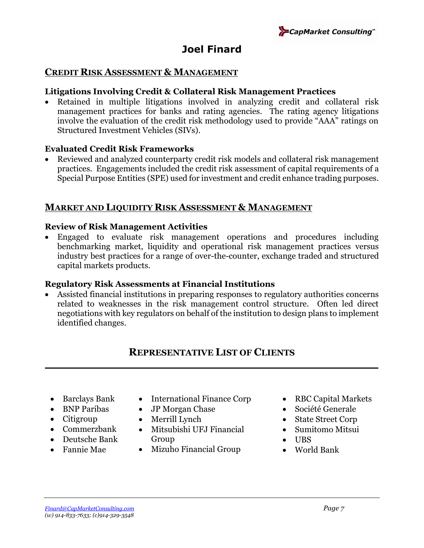

### **CREDIT RISK ASSESSMENT & MANAGEMENT**

### **Litigations Involving Credit & Collateral Risk Management Practices**

• Retained in multiple litigations involved in analyzing credit and collateral risk management practices for banks and rating agencies. The rating agency litigations involve the evaluation of the credit risk methodology used to provide "AAA" ratings on Structured Investment Vehicles (SIVs).

#### **Evaluated Credit Risk Frameworks**

• Reviewed and analyzed counterparty credit risk models and collateral risk management practices. Engagements included the credit risk assessment of capital requirements of a Special Purpose Entities (SPE) used for investment and credit enhance trading purposes.

### **MARKET AND LIQUIDITY RISK ASSESSMENT & MANAGEMENT**

#### **Review of Risk Management Activities**

• Engaged to evaluate risk management operations and procedures including benchmarking market, liquidity and operational risk management practices versus industry best practices for a range of over-the-counter, exchange traded and structured capital markets products.

#### **Regulatory Risk Assessments at Financial Institutions**

• Assisted financial institutions in preparing responses to regulatory authorities concerns related to weaknesses in the risk management control structure. Often led direct negotiations with key regulators on behalf of the institution to design plans to implement identified changes.

### **REPRESENTATIVE LIST OF CLIENTS**

- Barclays Bank
- BNP Paribas
- Citigroup
- Commerzbank
- Deutsche Bank
- Fannie Mae
- International Finance Corp
- JP Morgan Chase
- Merrill Lynch
- Mitsubishi UFJ Financial Group
- Mizuho Financial Group
- RBC Capital Markets
- Société Generale
- State Street Corp
- Sumitomo Mitsui
- UBS
- World Bank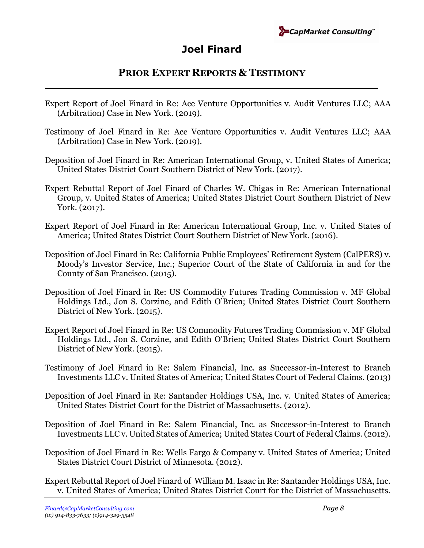

### **PRIOR EXPERT REPORTS & TESTIMONY**

- Expert Report of Joel Finard in Re: Ace Venture Opportunities v. Audit Ventures LLC; AAA (Arbitration) Case in New York. (2019).
- Testimony of Joel Finard in Re: Ace Venture Opportunities v. Audit Ventures LLC; AAA (Arbitration) Case in New York. (2019).
- Deposition of Joel Finard in Re: American International Group, v. United States of America; United States District Court Southern District of New York. (2017).
- Expert Rebuttal Report of Joel Finard of Charles W. Chigas in Re: American International Group, v. United States of America; United States District Court Southern District of New York. (2017).
- Expert Report of Joel Finard in Re: American International Group, Inc. v. United States of America; United States District Court Southern District of New York. (2016).
- Deposition of Joel Finard in Re: California Public Employees' Retirement System (CalPERS) v. Moody's Investor Service, Inc.; Superior Court of the State of California in and for the County of San Francisco. (2015).
- Deposition of Joel Finard in Re: US Commodity Futures Trading Commission v. MF Global Holdings Ltd., Jon S. Corzine, and Edith O'Brien; United States District Court Southern District of New York. (2015).
- Expert Report of Joel Finard in Re: US Commodity Futures Trading Commission v. MF Global Holdings Ltd., Jon S. Corzine, and Edith O'Brien; United States District Court Southern District of New York. (2015).
- Testimony of Joel Finard in Re: Salem Financial, Inc. as Successor-in-Interest to Branch Investments LLC v. United States of America; United States Court of Federal Claims. (2013)
- Deposition of Joel Finard in Re: Santander Holdings USA, Inc. v. United States of America; United States District Court for the District of Massachusetts. (2012).
- Deposition of Joel Finard in Re: Salem Financial, Inc. as Successor-in-Interest to Branch Investments LLC v. United States of America; United States Court of Federal Claims. (2012).
- Deposition of Joel Finard in Re: Wells Fargo & Company v. United States of America; United States District Court District of Minnesota. (2012).

Expert Rebuttal Report of Joel Finard of William M. Isaac in Re: Santander Holdings USA, Inc. v. United States of America; United States District Court for the District of Massachusetts.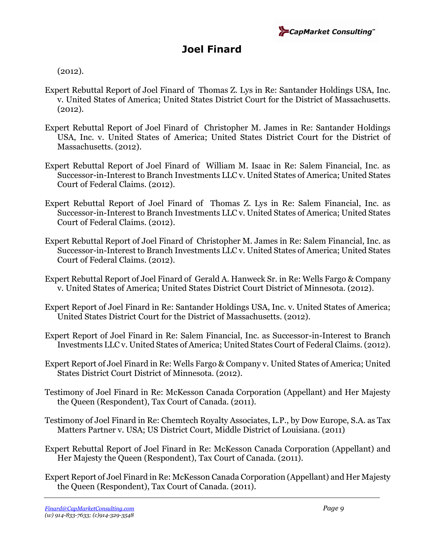

(2012).

- Expert Rebuttal Report of Joel Finard of Thomas Z. Lys in Re: Santander Holdings USA, Inc. v. United States of America; United States District Court for the District of Massachusetts. (2012).
- Expert Rebuttal Report of Joel Finard of Christopher M. James in Re: Santander Holdings USA, Inc. v. United States of America; United States District Court for the District of Massachusetts. (2012).
- Expert Rebuttal Report of Joel Finard of William M. Isaac in Re: Salem Financial, Inc. as Successor-in-Interest to Branch Investments LLC v. United States of America; United States Court of Federal Claims. (2012).
- Expert Rebuttal Report of Joel Finard of Thomas Z. Lys in Re: Salem Financial, Inc. as Successor-in-Interest to Branch Investments LLC v. United States of America; United States Court of Federal Claims. (2012).
- Expert Rebuttal Report of Joel Finard of Christopher M. James in Re: Salem Financial, Inc. as Successor-in-Interest to Branch Investments LLC v. United States of America; United States Court of Federal Claims. (2012).
- Expert Rebuttal Report of Joel Finard of Gerald A. Hanweck Sr. in Re: Wells Fargo & Company v. United States of America; United States District Court District of Minnesota. (2012).
- Expert Report of Joel Finard in Re: Santander Holdings USA, Inc. v. United States of America; United States District Court for the District of Massachusetts. (2012).
- Expert Report of Joel Finard in Re: Salem Financial, Inc. as Successor-in-Interest to Branch Investments LLC v. United States of America; United States Court of Federal Claims. (2012).
- Expert Report of Joel Finard in Re: Wells Fargo & Company v. United States of America; United States District Court District of Minnesota. (2012).
- Testimony of Joel Finard in Re: McKesson Canada Corporation (Appellant) and Her Majesty the Queen (Respondent), Tax Court of Canada. (2011).
- Testimony of Joel Finard in Re: Chemtech Royalty Associates, L.P., by Dow Europe, S.A. as Tax Matters Partner v. USA; US District Court, Middle District of Louisiana. (2011)
- Expert Rebuttal Report of Joel Finard in Re: McKesson Canada Corporation (Appellant) and Her Majesty the Queen (Respondent), Tax Court of Canada. (2011).
- Expert Report of Joel Finard in Re: McKesson Canada Corporation (Appellant) and Her Majesty the Queen (Respondent), Tax Court of Canada. (2011).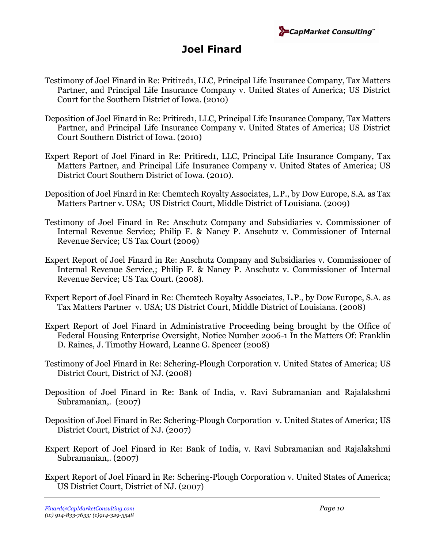

- Testimony of Joel Finard in Re: Pritired1, LLC, Principal Life Insurance Company, Tax Matters Partner, and Principal Life Insurance Company v. United States of America; US District Court for the Southern District of Iowa. (2010)
- Deposition of Joel Finard in Re: Pritired1, LLC, Principal Life Insurance Company, Tax Matters Partner, and Principal Life Insurance Company v. United States of America; US District Court Southern District of Iowa. (2010)
- Expert Report of Joel Finard in Re: Pritired1, LLC, Principal Life Insurance Company, Tax Matters Partner, and Principal Life Insurance Company v. United States of America; US District Court Southern District of Iowa. (2010).
- Deposition of Joel Finard in Re: Chemtech Royalty Associates, L.P., by Dow Europe, S.A. as Tax Matters Partner v. USA; US District Court, Middle District of Louisiana. (2009)
- Testimony of Joel Finard in Re: Anschutz Company and Subsidiaries v. Commissioner of Internal Revenue Service; Philip F. & Nancy P. Anschutz v. Commissioner of Internal Revenue Service; US Tax Court (2009)
- Expert Report of Joel Finard in Re: Anschutz Company and Subsidiaries v. Commissioner of Internal Revenue Service,; Philip F. & Nancy P. Anschutz v. Commissioner of Internal Revenue Service; US Tax Court. (2008).
- Expert Report of Joel Finard in Re: Chemtech Royalty Associates, L.P., by Dow Europe, S.A. as Tax Matters Partner v. USA; US District Court, Middle District of Louisiana. (2008)
- Expert Report of Joel Finard in Administrative Proceeding being brought by the Office of Federal Housing Enterprise Oversight, Notice Number 2006-1 In the Matters Of: Franklin D. Raines, J. Timothy Howard, Leanne G. Spencer (2008)
- Testimony of Joel Finard in Re: Schering-Plough Corporation v. United States of America; US District Court, District of NJ. (2008)
- Deposition of Joel Finard in Re: Bank of India, v. Ravi Subramanian and Rajalakshmi Subramanian,. (2007)
- Deposition of Joel Finard in Re: Schering-Plough Corporation v. United States of America; US District Court, District of NJ. (2007)
- Expert Report of Joel Finard in Re: Bank of India, v. Ravi Subramanian and Rajalakshmi Subramanian,. (2007)
- Expert Report of Joel Finard in Re: Schering-Plough Corporation v. United States of America; US District Court, District of NJ. (2007)